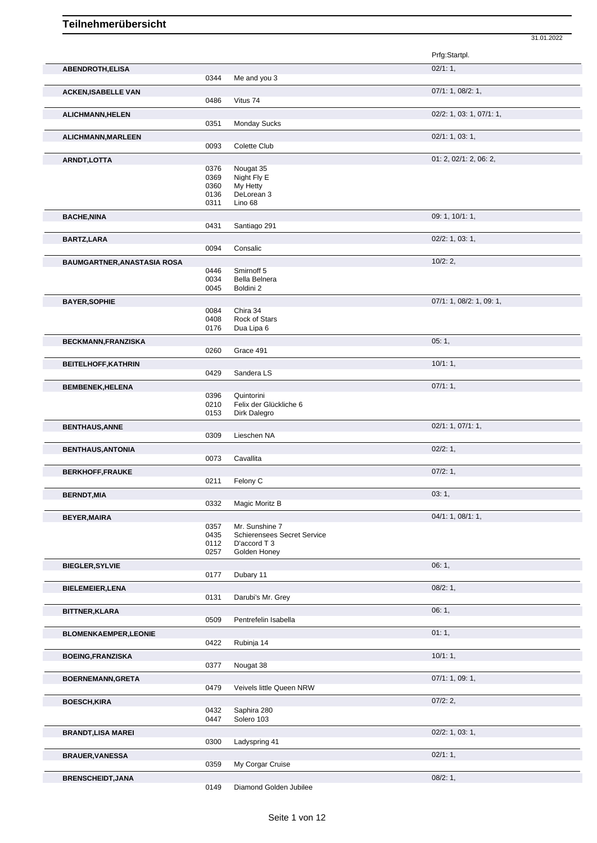Prfg:Startpl. **ABENDROTH,ELISA** 02/1: 1, 0344 Me and you 3 **ACKEN,ISABELLE VAN** 07/1: 1, 08/2: 1, 0486 Vitus 74 **ALICHMANN,HELEN** 02/2: 1, 03: 1, 07/1: 1, **Monday Sucks ALICHMANN,MARLEEN** 0093 Colette Club 02/1: 1, 03: 1, Colette Club **ARNDT, LOTTA** 01: 2, 02/1: 2, 06: 2, 0376 Nougat 35 0376 Nougat 35<br>0369 Night Fly E 0369 Night Fly E<br>0360 My Hetty 0360 My Hetty<br>0136 DeLorear 0136 DeLorean 3<br>0311 Lino 68 Lino 68 **BACHE,NINA** 09: 1, 10/1: 1, 0431 Santiago 291 **BARTZ,LARA** 02/2: 1, 03: 1, 0094 Consalic **BAUMGARTNER,ANASTASIA ROSA** 10/2: 2,<br>0446 Smirnoff 5 0446 Smirnoff 5<br>0034 Bella Belne 0034 Bella Belnera<br>0045 Boldini 2 Boldini 2 **BAYER, SOPHIE** 0084 Chira 34 **Chira 34** Chira 34 **Chira 34** O7/1: 1, 08/2: 1, 09: 1, 0084 Chira 34<br>0408 Rock of S 0408 Rock of Stars<br>0176 Dua Lipa 6 Dua Lipa 6 **BECKMANN,FRANZISKA** 0260 Grace 491 **CONSUMING CONSUMING CONSUMING CONSUMING CONSUMING CONSUMING CONSUMING CONSUMING CONSUMING CONSUMING CONSUMING CONSUMING CONSUMING CONSUMING CONSUMING CONSUMING CONSUMING CONSUMING CONSU** Grace 491 **BEITELHOFF, KATHRIN** 10/1: 1, 20129 Sandera LS Sandera LS **BEMBENEK,HELENA** 0396 Quintorini 2008 Quintorini 2009 07/1: 1, 0396 Quintorini<br>0210 Felix der ( 0210 Felix der Glückliche 6<br>0153 Dirk Dalegro Dirk Dalegro **BENTHAUS,ANNE** 0309 Lieschen NA **DENTHAUS,ANNE** 02/1: 1, 07/1: 1, Lieschen NA **BENTHAUS,ANTONIA** 02/2: 1, 02/2: 1, 02/2: 1, 02/2: 1, 02/2: 1, 02/2: 1, 02/2: 1, 02/2: 1, 02/2: 1, 02/2: 1, 02/2: 1, 02/2: 1, 02/2: 1, 02/2: 1, 02/2: 1, 02/2: 1, 02/2: 1, 02/2: 1, 02/2: 1, 02/2: 1, 02/2: 1, 02/2: 1, 02/2: Cavallita **BERKHOFF,FRAUKE** 0211 Felony C 0211 **CONTEX 07/2: 1,** Felony C **BERNDT,MIA** 03: 1, 0332 Magic Moritz B **BEYER, MAIRA** 04/1: 1, 08/1: 1, 08/1: 1, 08/1: 1, 08/1: 1, 08/1: 1, 08/1: 1, 08/1: 1, 08/1: 1, 08/1: 1, 08/1: 1, 08/1: 1, 08/1: 1, 08/1: 1, 08/1: 1, 08/1: 1, 08/1: 1, 08/1: 1, 09/1: 1, 09/1: 1, 09/1: 1, 09/1: 1, 09/1: 1, 0357 Mr. Sunshine 7<br>0435 Schierensees S 0435 Schierensees Secret Service<br>0112 D'accord T 3 D'accord T 3 0257 Golden Honey **BIEGLER,SYLVIE** 06: 1, 0.0177 Dubary 11 Dubary 11 **BIELEMEIER,LENA** 08/2: 1, 0131 Darubi's Mr. Grey **BITTNER,KLARA** 06: 1, 0509 Pentrefelin Isabella **BLOMENKAEMPER,LEONIE DE LA CONTRACTE DE LA CONTRACTE DE LA CONTRACTE DE LA CONTRACTE DE LA CONTRACTE DE LA CONTRACTE DE LA CONTRACTE DE LA CONTRACTE DE LA CONTRACTE DE LA CONTRACTE DE LA CONTRACTE DE LA CONTRACTE DE LA** 0422 Rubinja 14 **BOEING,FRANZISKA** 10/1: 1, 0377 Nougat 38 **BOERNEMANN,GRETA** 07/1: 1, 09: 1,<br>
0479 Veivels little Queen NRW Veivels little Queen NRW **BOESCH,KIRA** 07/2: 2, 07/2: 2, 0432 Saphira 280 0432 Saphira 280<br>0447 Solero 103 Solero 103 **BRANDT, LISA MAREI** 0300 Ladyspring 41 02/2: 1, 03: 1, 03: 1, 03: 1, 03: 1, 03: 1, 03: 1, 03: 1, 03: 1, 03: 1, 03: 1, 03: 1, 03: 1, 03: 1, 03: 1, 03: 1, 03: 1, 03: 1, 03: 1, 03: 1, 03: 1, 03: 1, 03: 1, 03: 1, 03: 1, 03: 1 Ladyspring 41 **BRAUER, VANESSA** 02/1: 1, 0359 My Corgar Cruise **1988** 02/1: 1, 02/1: 1, My Corgar Cruise

31.01.2022

**BRENSCHEIDT, JANA** 08/2: 1, 08/2: 1, 08/2: 1, 08/2: 1, 08/2: 1, 08/2: 1, 08/2: 1, 09/2: 1, 08/2: 1, 09/2: 1, 09/2: 1, 09/2: 1, 09/2: 1, 09/2: 1, 09/2: 1, 0149 Diamond Golden Jubilee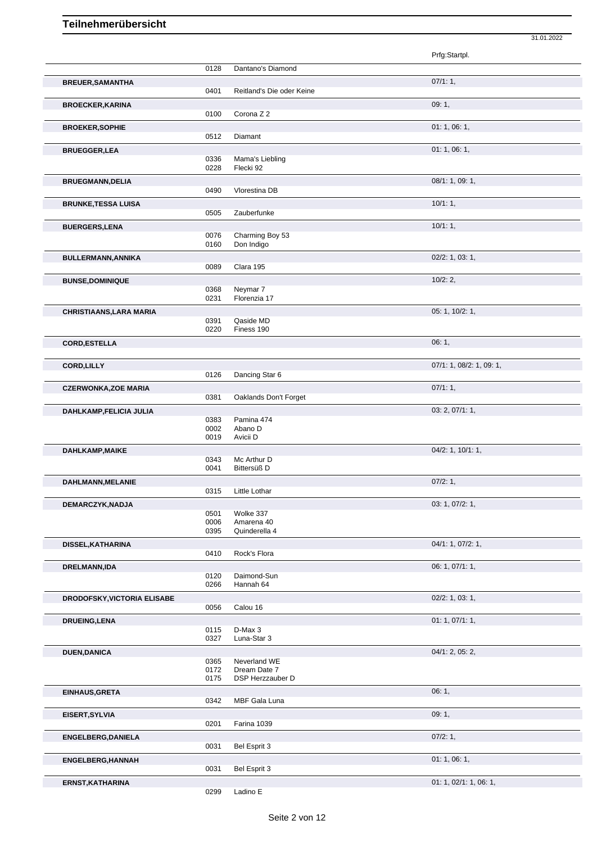|                                    |              |                                  | Prfg:Startpl.            |
|------------------------------------|--------------|----------------------------------|--------------------------|
|                                    | 0128         | Dantano's Diamond                |                          |
|                                    |              |                                  | 07/1:1,                  |
| <b>BREUER, SAMANTHA</b>            | 0401         | Reitland's Die oder Keine        |                          |
| <b>BROECKER, KARINA</b>            |              |                                  | 09:1,                    |
|                                    | 0100         | Corona Z 2                       |                          |
| <b>BROEKER, SOPHIE</b>             |              |                                  | 01:1,06:1,               |
|                                    | 0512         | Diamant                          |                          |
| <b>BRUEGGER,LEA</b>                |              |                                  | 01:1,06:1,               |
|                                    | 0336         | Mama's Liebling                  |                          |
|                                    | 0228         | Flecki 92                        |                          |
| <b>BRUEGMANN, DELIA</b>            |              |                                  | 08/1: 1, 09: 1,          |
|                                    | 0490         | Vlorestina DB                    |                          |
| <b>BRUNKE, TESSA LUISA</b>         |              |                                  | 10/1:1,                  |
|                                    | 0505         | Zauberfunke                      |                          |
| <b>BUERGERS,LENA</b>               |              |                                  | 10/1:1,                  |
|                                    | 0076<br>0160 | Charming Boy 53<br>Don Indigo    |                          |
|                                    |              |                                  |                          |
| <b>BULLERMANN, ANNIKA</b>          | 0089         | Clara 195                        | $02/2$ : 1, 03: 1,       |
|                                    |              |                                  | 10/2:2,                  |
| <b>BUNSE, DOMINIQUE</b>            | 0368         | Neymar <sub>7</sub>              |                          |
|                                    | 0231         | Florenzia 17                     |                          |
| <b>CHRISTIAANS, LARA MARIA</b>     |              |                                  | 05: 1, 10/2: 1,          |
|                                    | 0391         | Qaside MD                        |                          |
|                                    | 0220         | Finess 190                       |                          |
| <b>CORD, ESTELLA</b>               |              |                                  | 06:1,                    |
|                                    |              |                                  |                          |
| <b>CORD, LILLY</b>                 |              |                                  | 07/1: 1, 08/2: 1, 09: 1, |
|                                    | 0126         | Dancing Star 6                   |                          |
| <b>CZERWONKA, ZOE MARIA</b>        |              |                                  | 07/1:1,                  |
|                                    | 0381         | Oaklands Don't Forget            |                          |
| DAHLKAMP,FELICIA JULIA             | 0383         | Pamina 474                       | 03: 2, 07/1: 1,          |
|                                    | 0002         | Abano D                          |                          |
|                                    | 0019         | Avicii D                         |                          |
| DAHLKAMP, MAIKE                    |              |                                  | 04/2: 1, 10/1: 1,        |
|                                    | 0343         | Mc Arthur D                      |                          |
|                                    | 0041         | Bittersüß D                      |                          |
| DAHLMANN, MELANIE                  |              |                                  | 07/2:1,                  |
|                                    | 0315         | Little Lothar                    |                          |
| DEMARCZYK, NADJA                   | 0501         | Wolke 337                        | 03: 1, 07/2: 1,          |
|                                    | 0006         | Amarena 40                       |                          |
|                                    | 0395         | Quinderella 4                    |                          |
| DISSEL, KATHARINA                  |              |                                  | 04/1: 1, 07/2: 1,        |
|                                    | 0410         | Rock's Flora                     |                          |
| DRELMANN, IDA                      |              |                                  | 06: 1, 07/1: 1,          |
|                                    | 0120<br>0266 | Daimond-Sun                      |                          |
|                                    |              | Hannah 64                        |                          |
| <b>DRODOFSKY, VICTORIA ELISABE</b> | 0056         | Calou 16                         | 02/2: 1, 03: 1,          |
|                                    |              |                                  |                          |
| <b>DRUEING, LENA</b>               | 0115         | D-Max 3                          | 01: 1, 07/1: 1,          |
|                                    | 0327         | Luna-Star 3                      |                          |
| <b>DUEN,DANICA</b>                 |              |                                  | 04/1: 2, 05: 2,          |
|                                    | 0365         | Neverland WE                     |                          |
|                                    | 0172<br>0175 | Dream Date 7<br>DSP Herzzauber D |                          |
|                                    |              |                                  |                          |
| EINHAUS, GRETA                     | 0342         | MBF Gala Luna                    | 06:1,                    |
|                                    |              |                                  |                          |
| EISERT, SYLVIA                     | 0201         | Farina 1039                      | 09:1,                    |
|                                    |              |                                  | 07/2:1,                  |
| <b>ENGELBERG, DANIELA</b>          | 0031         | Bel Esprit 3                     |                          |
| <b>ENGELBERG, HANNAH</b>           |              |                                  | 01: 1, 06: 1,            |
|                                    | 0031         | Bel Esprit 3                     |                          |
| ERNST, KATHARINA                   |              |                                  | 01: 1, 02/1: 1, 06: 1,   |
|                                    |              |                                  |                          |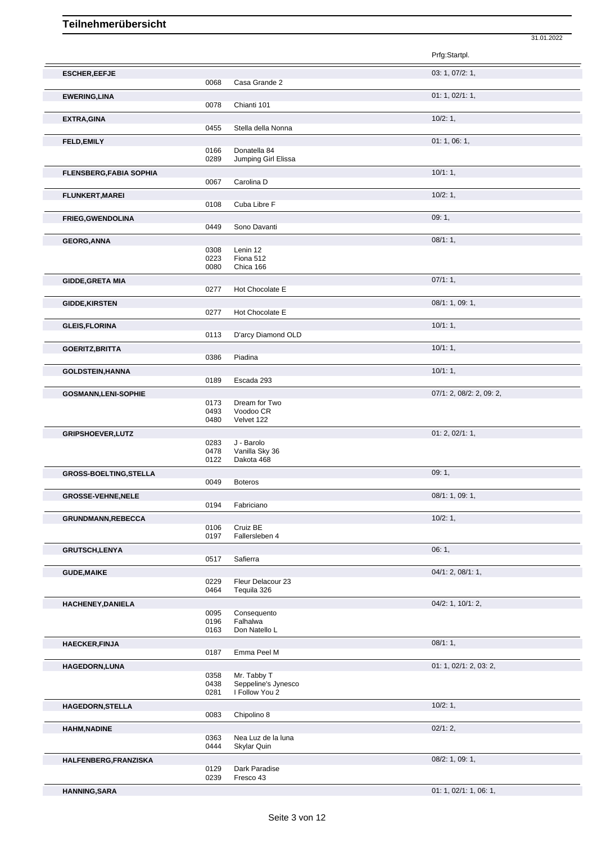|                                |                      |                                                      | Prfg:Startpl.            |
|--------------------------------|----------------------|------------------------------------------------------|--------------------------|
| <b>ESCHER, EEFJE</b>           | 0068                 | Casa Grande 2                                        | 03: 1, 07/2: 1,          |
| <b>EWERING, LINA</b>           | 0078                 | Chianti 101                                          | 01: 1, 02/1: 1,          |
| <b>EXTRA, GINA</b>             | 0455                 | Stella della Nonna                                   | 10/2:1,                  |
| <b>FELD, EMILY</b>             | 0166                 | Donatella 84                                         | 01: 1, 06: 1,            |
| <b>FLENSBERG, FABIA SOPHIA</b> | 0289                 | Jumping Girl Elissa                                  | 10/1:1,                  |
|                                | 0067                 | Carolina D                                           |                          |
| <b>FLUNKERT, MAREI</b>         | 0108                 | Cuba Libre F                                         | 10/2:1,                  |
| <b>FRIEG, GWENDOLINA</b>       | 0449                 | Sono Davanti                                         | 09:1,                    |
| <b>GEORG, ANNA</b>             | 0308<br>0223<br>0080 | Lenin 12<br>Fiona 512<br>Chica 166                   | 08/1:1,                  |
| <b>GIDDE, GRETA MIA</b>        | 0277                 | Hot Chocolate E                                      | 07/1:1,                  |
| <b>GIDDE, KIRSTEN</b>          | 0277                 | Hot Chocolate E                                      | 08/1: 1, 09: 1,          |
| <b>GLEIS, FLORINA</b>          | 0113                 | D'arcy Diamond OLD                                   | 10/1:1,                  |
| <b>GOERITZ, BRITTA</b>         | 0386                 | Piadina                                              | 10/1:1,                  |
| <b>GOLDSTEIN, HANNA</b>        | 0189                 | Escada 293                                           | 10/1:1,                  |
| <b>GOSMANN,LENI-SOPHIE</b>     | 0173<br>0493<br>0480 | Dream for Two<br>Voodoo CR<br>Velvet 122             | 07/1: 2, 08/2: 2, 09: 2, |
| <b>GRIPSHOEVER, LUTZ</b>       | 0283<br>0478<br>0122 | J - Barolo<br>Vanilla Sky 36<br>Dakota 468           | 01: 2, 02/1: 1,          |
| <b>GROSS-BOELTING, STELLA</b>  | 0049                 | <b>Boteros</b>                                       | 09:1,                    |
| <b>GROSSE-VEHNE, NELE</b>      | 0194                 | Fabriciano                                           | 08/1: 1, 09: 1,          |
| <b>GRUNDMANN,REBECCA</b>       | 0106<br>0197         | Cruiz BE<br>Fallersleben 4                           | 10/2:1,                  |
| <b>GRUTSCH,LENYA</b>           | 0517                 | Safierra                                             | 06:1,                    |
| <b>GUDE, MAIKE</b>             | 0229<br>0464         | Fleur Delacour 23<br>Tequila 326                     | 04/1: 2, 08/1: 1,        |
| HACHENEY, DANIELA              | 0095<br>0196<br>0163 | Consequento<br>Falhalwa<br>Don Natello L             | 04/2: 1, 10/1: 2,        |
| <b>HAECKER, FINJA</b>          | 0187                 | Emma Peel M                                          | 08/1:1,                  |
| HAGEDORN, LUNA                 | 0358<br>0438<br>0281 | Mr. Tabby T<br>Seppeline's Jynesco<br>I Follow You 2 | 01: 1, 02/1: 2, 03: 2,   |
| HAGEDORN, STELLA               | 0083                 | Chipolino 8                                          | 10/2:1,                  |
| <b>HAHM, NADINE</b>            | 0363<br>0444         | Nea Luz de la luna<br>Skylar Quin                    | 02/1:2,                  |
| HALFENBERG, FRANZISKA          | 0129<br>0239         | Dark Paradise<br>Fresco 43                           | 08/2: 1, 09: 1,          |

31.01.2022

**HANNING,SARA** 01: 1, 02/1: 1, 06: 1,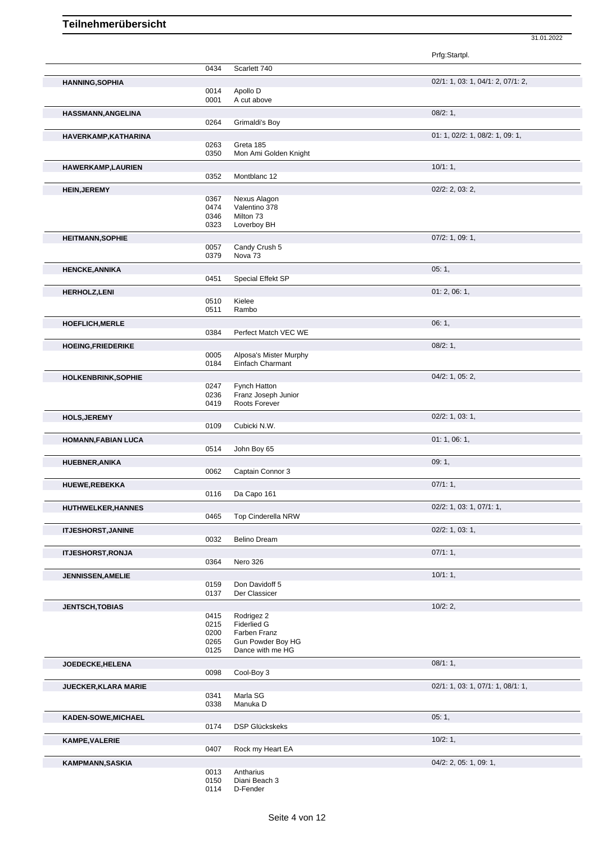|                             |              |                                            | Prfg:Startpl.                     |
|-----------------------------|--------------|--------------------------------------------|-----------------------------------|
|                             | 0434         | Scarlett 740                               |                                   |
| <b>HANNING, SOPHIA</b>      |              |                                            | 02/1: 1, 03: 1, 04/1: 2, 07/1: 2, |
|                             | 0014         | Apollo D                                   |                                   |
|                             | 0001         | A cut above                                |                                   |
| HASSMANN, ANGELINA          |              |                                            | 08/2:1,                           |
|                             | 0264         | Grimaldi's Boy                             |                                   |
| HAVERKAMP, KATHARINA        |              |                                            | 01: 1, 02/2: 1, 08/2: 1, 09: 1,   |
|                             | 0263         | Greta 185                                  |                                   |
|                             | 0350         | Mon Ami Golden Knight                      |                                   |
| <b>HAWERKAMP,LAURIEN</b>    |              |                                            | 10/1:1,                           |
|                             | 0352         | Montblanc 12                               |                                   |
| <b>HEIN, JEREMY</b>         |              |                                            | 02/2: 2, 03: 2,                   |
|                             | 0367         | Nexus Alagon                               |                                   |
|                             | 0474         | Valentino 378                              |                                   |
|                             | 0346<br>0323 | Milton 73<br>Loverboy BH                   |                                   |
|                             |              |                                            |                                   |
| <b>HEITMANN, SOPHIE</b>     | 0057         | Candy Crush 5                              | $07/2$ : 1, 09: 1,                |
|                             | 0379         | Nova <sub>73</sub>                         |                                   |
|                             |              |                                            |                                   |
| <b>HENCKE, ANNIKA</b>       | 0451         | Special Effekt SP                          | 05:1,                             |
|                             |              |                                            |                                   |
| <b>HERHOLZ, LENI</b>        |              |                                            | 01: 2, 06: 1,                     |
|                             | 0510<br>0511 | Kielee<br>Rambo                            |                                   |
|                             |              |                                            |                                   |
| <b>HOEFLICH, MERLE</b>      | 0384         | Perfect Match VEC WE                       | 06:1,                             |
|                             |              |                                            |                                   |
| <b>HOEING, FRIEDERIKE</b>   | 0005         |                                            | 08/2:1,                           |
|                             | 0184         | Alposa's Mister Murphy<br>Einfach Charmant |                                   |
|                             |              |                                            | 04/2: 1, 05: 2,                   |
| <b>HOLKENBRINK, SOPHIE</b>  | 0247         | Fynch Hatton                               |                                   |
|                             | 0236         | Franz Joseph Junior                        |                                   |
|                             | 0419         | Roots Forever                              |                                   |
| <b>HOLS, JEREMY</b>         |              |                                            | 02/2: 1, 03: 1,                   |
|                             | 0109         | Cubicki N.W.                               |                                   |
| <b>HOMANN, FABIAN LUCA</b>  |              |                                            | 01:1,06:1,                        |
|                             | 0514         | John Boy 65                                |                                   |
| <b>HUEBNER, ANIKA</b>       |              |                                            | 09:1,                             |
|                             | 0062         | Captain Connor 3                           |                                   |
| HUEWE, REBEKKA              |              |                                            | 07/1:1,                           |
|                             | 0116         | Da Capo 161                                |                                   |
| <b>HUTHWELKER, HANNES</b>   |              |                                            | 02/2: 1, 03: 1, 07/1: 1,          |
|                             | 0465         | Top Cinderella NRW                         |                                   |
| <b>ITJESHORST, JANINE</b>   |              |                                            | $02/2$ : 1, 03: 1,                |
|                             | 0032         | <b>Belino Dream</b>                        |                                   |
| <b>ITJESHORST, RONJA</b>    |              |                                            | 07/1:1,                           |
|                             | 0364         | Nero 326                                   |                                   |
| <b>JENNISSEN, AMELIE</b>    |              |                                            | 10/1:1,                           |
|                             | 0159         | Don Davidoff 5                             |                                   |
|                             | 0137         | Der Classicer                              |                                   |
| <b>JENTSCH, TOBIAS</b>      |              |                                            | 10/2:2,                           |
|                             | 0415         | Rodrigez 2                                 |                                   |
|                             | 0215         | <b>Fiderlied G</b>                         |                                   |
|                             | 0200<br>0265 | Farben Franz<br>Gun Powder Boy HG          |                                   |
|                             | 0125         | Dance with me HG                           |                                   |
| <b>JOEDECKE,HELENA</b>      |              |                                            | 08/1:1,                           |
|                             | 0098         | Cool-Boy 3                                 |                                   |
| <b>JUECKER, KLARA MARIE</b> |              |                                            | 02/1: 1, 03: 1, 07/1: 1, 08/1: 1, |
|                             | 0341         | Marla SG                                   |                                   |
|                             | 0338         | Manuka D                                   |                                   |
| KADEN-SOWE, MICHAEL         |              |                                            | 05:1,                             |
|                             | 0174         | <b>DSP Glückskeks</b>                      |                                   |
| <b>KAMPE, VALERIE</b>       |              |                                            | 10/2:1,                           |
|                             | 0407         | Rock my Heart EA                           |                                   |
| <b>KAMPMANN, SASKIA</b>     |              |                                            | 04/2: 2, 05: 1, 09: 1,            |
|                             | 0013         | Antharius                                  |                                   |
|                             | 0150         | Diani Beach 3                              |                                   |
|                             | 0114         | D-Fender                                   |                                   |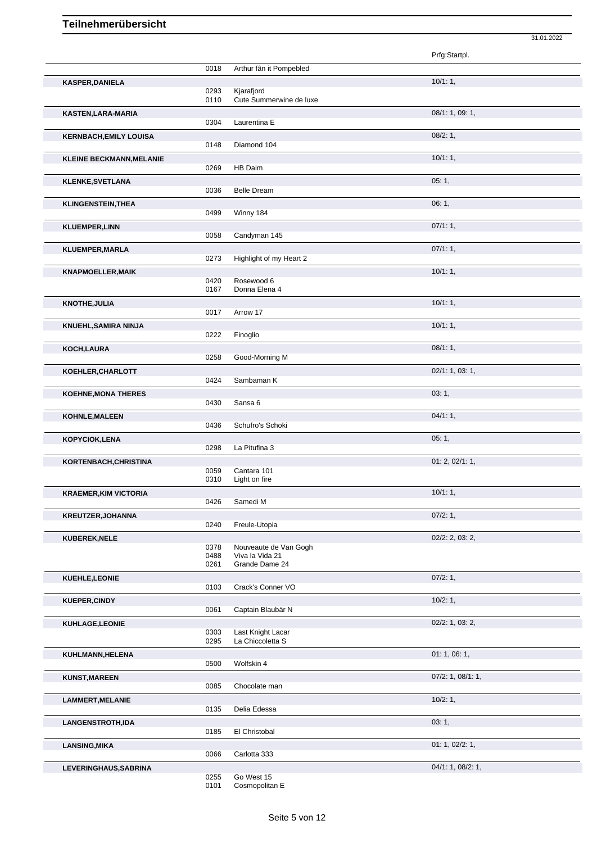|                                 |              |                                          | Prfg:Startpl.      |
|---------------------------------|--------------|------------------------------------------|--------------------|
|                                 | 0018         | Arthur fân it Pompebled                  |                    |
| <b>KASPER, DANIELA</b>          |              |                                          | 10/1:1,            |
|                                 | 0293<br>0110 | Kjarafjord<br>Cute Summerwine de luxe    |                    |
| KASTEN, LARA-MARIA              |              |                                          | 08/1: 1, 09: 1,    |
|                                 | 0304         | Laurentina E                             |                    |
| <b>KERNBACH, EMILY LOUISA</b>   |              |                                          | 08/2:1,            |
|                                 | 0148         | Diamond 104                              |                    |
| <b>KLEINE BECKMANN, MELANIE</b> |              |                                          | 10/1:1,            |
|                                 | 0269         | HB Daim                                  |                    |
| <b>KLENKE, SVETLANA</b>         |              |                                          | 05:1,              |
|                                 | 0036         | <b>Belle Dream</b>                       |                    |
| <b>KLINGENSTEIN, THEA</b>       |              |                                          | 06:1,              |
|                                 | 0499         | Winny 184                                |                    |
| <b>KLUEMPER,LINN</b>            |              |                                          | 07/1:1,            |
|                                 | 0058         | Candyman 145                             |                    |
| <b>KLUEMPER, MARLA</b>          |              |                                          | $07/1:1$ ,         |
|                                 | 0273         | Highlight of my Heart 2                  |                    |
| <b>KNAPMOELLER, MAIK</b>        |              |                                          | 10/1:1,            |
|                                 | 0420         | Rosewood 6                               |                    |
|                                 | 0167         | Donna Elena 4                            |                    |
| <b>KNOTHE, JULIA</b>            |              |                                          | 10/1:1             |
|                                 | 0017         | Arrow 17                                 |                    |
| <b>KNUEHL, SAMIRA NINJA</b>     | 0222         | Finoglio                                 | 10/1:1,            |
|                                 |              |                                          |                    |
| <b>KOCH, LAURA</b>              | 0258         | Good-Morning M                           | 08/1:1,            |
|                                 |              |                                          |                    |
| KOEHLER, CHARLOTT               | 0424         | Sambaman K                               | 02/1: 1, 03: 1,    |
|                                 |              |                                          |                    |
| <b>KOEHNE, MONA THERES</b>      | 0430         | Sansa 6                                  | 03:1,              |
|                                 |              |                                          |                    |
| <b>KOHNLE, MALEEN</b>           | 0436         | Schufro's Schoki                         | 04/1:1,            |
|                                 |              |                                          | 05:1,              |
| KOPYCIOK, LENA                  | 0298         | La Pitufina 3                            |                    |
| KORTENBACH, CHRISTINA           |              |                                          | 01: 2, 02/1: 1,    |
|                                 | 0059         | Cantara 101                              |                    |
|                                 | 0310         | Light on fire                            |                    |
| <b>KRAEMER, KIM VICTORIA</b>    |              |                                          | 10/1:1,            |
|                                 | 0426         | Samedi M                                 |                    |
| <b>KREUTZER, JOHANNA</b>        |              |                                          | 07/2:1,            |
|                                 | 0240         | Freule-Utopia                            |                    |
| KUBEREK, NELE                   |              |                                          | $02/2$ : 2, 03: 2, |
|                                 | 0378<br>0488 | Nouveaute de Van Gogh<br>Viva la Vida 21 |                    |
|                                 | 0261         | Grande Dame 24                           |                    |
| KUEHLE, LEONIE                  |              |                                          | 07/2:1,            |
|                                 | 0103         | Crack's Conner VO                        |                    |
| <b>KUEPER, CINDY</b>            |              |                                          | 10/2:1,            |
|                                 | 0061         | Captain Blaubär N                        |                    |
| KUHLAGE,LEONIE                  |              |                                          | 02/2: 1, 03: 2,    |
|                                 | 0303         | Last Knight Lacar                        |                    |
|                                 | 0295         | La Chiccoletta S                         |                    |
| KUHLMANN, HELENA                |              |                                          | 01: 1, 06: 1,      |
|                                 | 0500         | Wolfskin 4                               |                    |
| <b>KUNST, MAREEN</b>            |              |                                          | 07/2: 1, 08/1: 1,  |
|                                 | 0085         | Chocolate man                            |                    |
| <b>LAMMERT, MELANIE</b>         |              |                                          | 10/2:1,            |
|                                 | 0135         | Delia Edessa                             |                    |
| LANGENSTROTH,IDA                |              |                                          | 03:1,              |
|                                 | 0185         | El Christobal                            |                    |
| <b>LANSING, MIKA</b>            |              |                                          | 01: 1, 02/2: 1,    |
|                                 | 0066         | Carlotta 333                             |                    |
| LEVERINGHAUS, SABRINA           | 0255         | Go West 15                               | 04/1: 1, 08/2: 1,  |
|                                 |              |                                          |                    |

31.01.2022

0101 Cosmopolitan E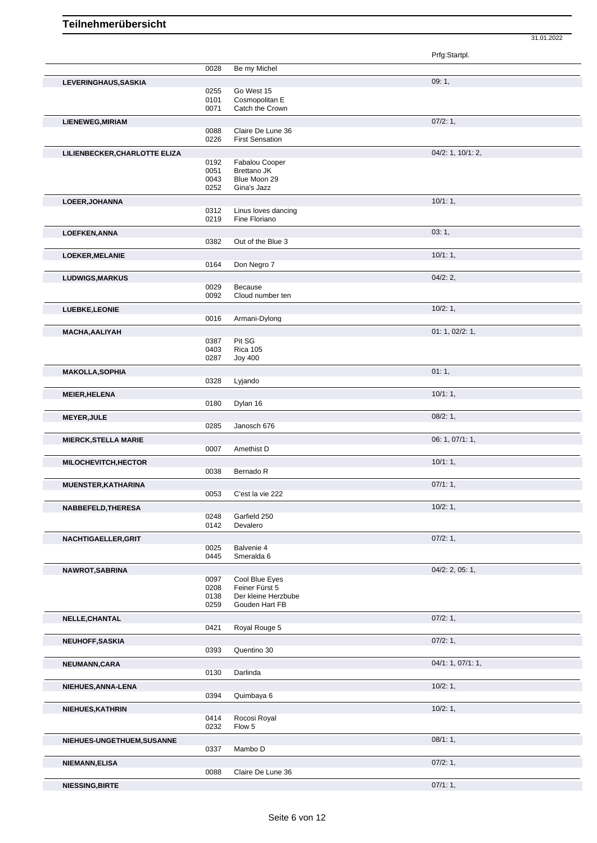|                               |              |                                       | Prfg:Startpl.     |
|-------------------------------|--------------|---------------------------------------|-------------------|
|                               | 0028         | Be my Michel                          |                   |
| LEVERINGHAUS, SASKIA          |              |                                       | 09:1,             |
|                               | 0255         | Go West 15                            |                   |
|                               | 0101<br>0071 | Cosmopolitan E<br>Catch the Crown     |                   |
| <b>LIENEWEG, MIRIAM</b>       |              |                                       | 07/2:1,           |
|                               | 0088         | Claire De Lune 36                     |                   |
|                               | 0226         | <b>First Sensation</b>                |                   |
| LILIENBECKER, CHARLOTTE ELIZA |              |                                       | 04/2: 1, 10/1: 2, |
|                               | 0192         | Fabalou Cooper                        |                   |
|                               | 0051<br>0043 | <b>Brettano JK</b><br>Blue Moon 29    |                   |
|                               | 0252         | Gina's Jazz                           |                   |
| LOEER, JOHANNA                |              |                                       | 10/1:1,           |
|                               | 0312         | Linus loves dancing                   |                   |
|                               | 0219         | Fine Floriano                         |                   |
| <b>LOEFKEN, ANNA</b>          |              |                                       | 03:1,             |
|                               | 0382         | Out of the Blue 3                     |                   |
| LOEKER, MELANIE               |              |                                       | 10/1:1,           |
|                               | 0164         | Don Negro 7                           |                   |
| <b>LUDWIGS, MARKUS</b>        |              |                                       | 04/2:2            |
|                               | 0029<br>0092 | Because<br>Cloud number ten           |                   |
| LUEBKE, LEONIE                |              |                                       | 10/2:1,           |
|                               | 0016         | Armani-Dylong                         |                   |
| MACHA, AALIYAH                |              |                                       | 01: 1, 02/2: 1,   |
|                               | 0387         | Pit SG                                |                   |
|                               | 0403         | <b>Rica 105</b>                       |                   |
|                               | 0287         | <b>Joy 400</b>                        |                   |
| <b>MAKOLLA, SOPHIA</b>        | 0328         | Lyjando                               | 01:1,             |
|                               |              |                                       |                   |
| <b>MEIER, HELENA</b>          | 0180         | Dylan 16                              | 10/1:1,           |
|                               |              |                                       |                   |
| <b>MEYER, JULE</b>            | 0285         | Janosch 676                           | 08/2:1,           |
| <b>MIERCK, STELLA MARIE</b>   |              |                                       | 06: 1, 07/1: 1,   |
|                               | 0007         | Amethist D                            |                   |
| MILOCHEVITCH, HECTOR          |              |                                       | 10/1:1,           |
|                               | 0038         | Bernado R                             |                   |
| MUENSTER, KATHARINA           |              |                                       | 07/1:1,           |
|                               | 0053         | C'est la vie 222                      |                   |
| NABBEFELD, THERESA            |              |                                       | 10/2:1,           |
|                               | 0248         | Garfield 250                          |                   |
|                               | 0142         | Devalero                              |                   |
| NACHTIGAELLER, GRIT           |              |                                       | 07/2: 1,          |
|                               | 0025<br>0445 | Balvenie 4<br>Smeralda 6              |                   |
| NAWROT, SABRINA               |              |                                       | 04/2: 2, 05: 1,   |
|                               | 0097         | Cool Blue Eyes                        |                   |
|                               | 0208         | Feiner Fürst 5<br>Der kleine Herzbube |                   |
|                               | 0138<br>0259 | Gouden Hart FB                        |                   |
| NELLE, CHANTAL                |              |                                       | 07/2:1,           |
|                               | 0421         | Royal Rouge 5                         |                   |
| NEUHOFF, SASKIA               |              |                                       | 07/2:1,           |
|                               | 0393         | Quentino 30                           |                   |
| NEUMANN, CARA                 |              |                                       | 04/1: 1, 07/1: 1, |
|                               | 0130         | Darlinda                              |                   |
| NIEHUES, ANNA-LENA            |              |                                       | 10/2:1,           |
|                               | 0394         | Quimbaya 6                            |                   |
| NIEHUES, KATHRIN              |              |                                       | 10/2:1,           |
|                               | 0414<br>0232 | Rocosi Royal<br>Flow 5                |                   |
|                               |              |                                       |                   |
| NIEHUES-UNGETHUEM, SUSANNE    | 0337         | Mambo D                               | 08/1:1,           |
|                               |              |                                       | 07/2:1,           |
| NIEMANN, ELISA                | 0088         | Claire De Lune 36                     |                   |
| NIECCINA DIDTE                |              |                                       | 07/1.1            |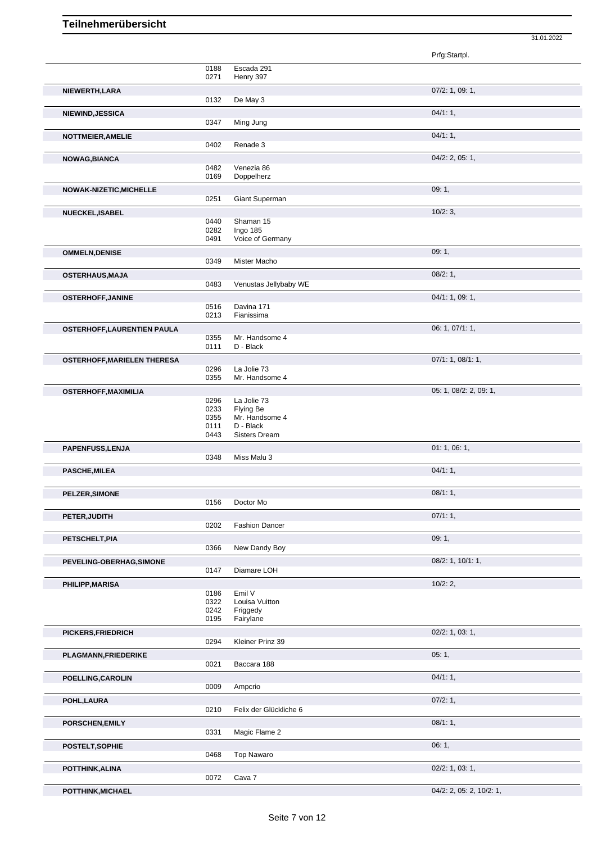|                                    |              |                               | Prfg:Startpl.            |
|------------------------------------|--------------|-------------------------------|--------------------------|
|                                    | 0188         | Escada 291                    |                          |
|                                    | 0271         | Henry 397                     |                          |
| NIEWERTH, LARA                     |              |                               | 07/2: 1, 09: 1,          |
|                                    | 0132         | De May 3                      |                          |
| NIEWIND, JESSICA                   |              |                               | 04/1:1,                  |
|                                    | 0347         | Ming Jung                     |                          |
| NOTTMEIER, AMELIE                  |              |                               | 04/1:1,                  |
|                                    | 0402         | Renade 3                      |                          |
| NOWAG, BIANCA                      |              |                               | $04/2$ : 2, 05: 1,       |
|                                    | 0482<br>0169 | Venezia 86<br>Doppelherz      |                          |
|                                    |              |                               |                          |
| NOWAK-NIZETIC, MICHELLE            | 0251         | Giant Superman                | 09:1,                    |
|                                    |              |                               | 10/2:3,                  |
| NUECKEL, ISABEL                    | 0440         | Shaman 15                     |                          |
|                                    | 0282         | Ingo 185                      |                          |
|                                    | 0491         | Voice of Germany              |                          |
| <b>OMMELN, DENISE</b>              |              |                               | 09:1,                    |
|                                    | 0349         | Mister Macho                  |                          |
| <b>OSTERHAUS, MAJA</b>             |              |                               | 08/2:1,                  |
|                                    | 0483         | Venustas Jellybaby WE         |                          |
| <b>OSTERHOFF, JANINE</b>           |              |                               | 04/1: 1, 09: 1,          |
|                                    | 0516<br>0213 | Davina 171<br>Fianissima      |                          |
| <b>OSTERHOFF, LAURENTIEN PAULA</b> |              |                               | 06: 1, 07/1: 1,          |
|                                    | 0355         | Mr. Handsome 4                |                          |
|                                    | 0111         | D - Black                     |                          |
| <b>OSTERHOFF, MARIELEN THERESA</b> |              |                               | 07/1: 1, 08/1: 1,        |
|                                    | 0296<br>0355 | La Jolie 73<br>Mr. Handsome 4 |                          |
|                                    |              |                               |                          |
| <b>OSTERHOFF, MAXIMILIA</b>        | 0296         | La Jolie 73                   | 05: 1, 08/2: 2, 09: 1,   |
|                                    | 0233         | Flying Be                     |                          |
|                                    | 0355         | Mr. Handsome 4                |                          |
|                                    | 0111<br>0443 | D - Black<br>Sisters Dream    |                          |
| PAPENFUSS, LENJA                   |              |                               | 01: 1, 06: 1,            |
|                                    | 0348         | Miss Malu 3                   |                          |
| <b>PASCHE, MILEA</b>               |              |                               | 04/1:1,                  |
|                                    |              |                               |                          |
| <b>PELZER, SIMONE</b>              |              |                               | 08/1:1,                  |
|                                    | 0156         | Doctor Mo                     |                          |
| PETER, JUDITH                      |              |                               | 07/1:1,                  |
|                                    | 0202         | <b>Fashion Dancer</b>         |                          |
| PETSCHELT, PIA                     |              |                               | 09:1,                    |
|                                    | 0366         | New Dandy Boy                 |                          |
| PEVELING-OBERHAG, SIMONE           |              |                               | 08/2: 1, 10/1: 1,        |
|                                    | 0147         | Diamare LOH                   |                          |
| PHILIPP, MARISA                    |              |                               | 10/2:2,                  |
|                                    | 0186<br>0322 | Emil V<br>Louisa Vuitton      |                          |
|                                    | 0242         | Friggedy                      |                          |
|                                    | 0195         | Fairylane                     |                          |
| PICKERS, FRIEDRICH                 |              |                               | 02/2: 1, 03: 1,          |
|                                    | 0294         | Kleiner Prinz 39              |                          |
| <b>PLAGMANN, FRIEDERIKE</b>        |              |                               | 05:1,                    |
|                                    | 0021         | Baccara 188                   |                          |
| POELLING, CAROLIN                  |              |                               | 04/1:1,                  |
|                                    | 0009         | Ampcrio                       |                          |
| POHL, LAURA                        | 0210         | Felix der Glückliche 6        | 07/2:1,                  |
|                                    |              |                               |                          |
| PORSCHEN, EMILY                    | 0331         | Magic Flame 2                 | 08/1:1,                  |
|                                    |              |                               |                          |
| POSTELT, SOPHIE                    | 0468         | <b>Top Nawaro</b>             | 06:1,                    |
| POTTHINK, ALINA                    |              |                               | $02/2$ : 1, 03: 1,       |
|                                    | 0072         | Cava 7                        |                          |
| POTTHINK, MICHAEL                  |              |                               | 04/2: 2, 05: 2, 10/2: 1, |
|                                    |              |                               |                          |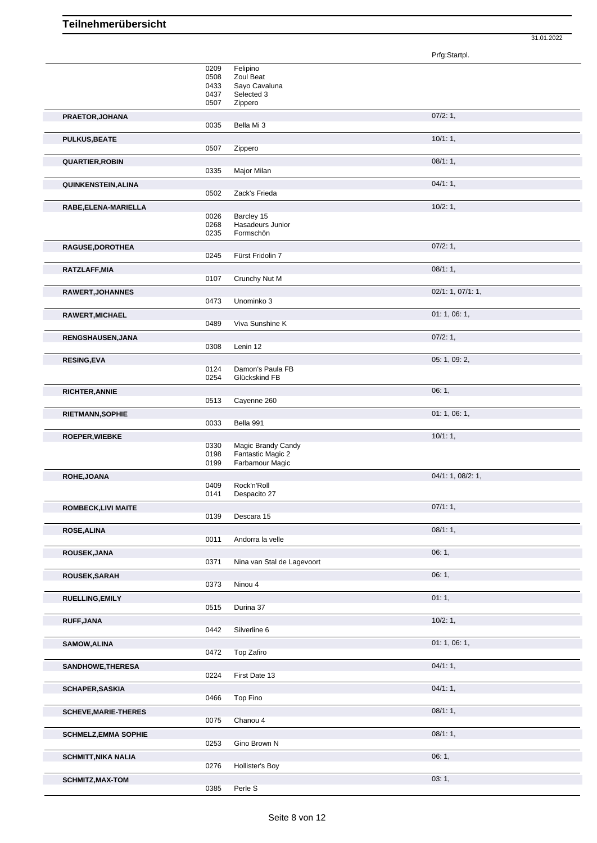Prfg:Startpl.

|                                                       | 0209<br>0508<br>0433<br>0437<br>0507 | Felipino<br>Zoul Beat<br>Sayo Cavaluna<br>Selected 3<br>Zippero |                   |
|-------------------------------------------------------|--------------------------------------|-----------------------------------------------------------------|-------------------|
| PRAETOR, JOHANA                                       | 0035                                 | Bella Mi 3                                                      | 07/2:1,           |
| <b>PULKUS, BEATE</b>                                  | 0507                                 | Zippero                                                         | 10/1:1,           |
| <b>QUARTIER, ROBIN</b>                                | 0335                                 | Major Milan                                                     | 08/1:1,           |
| QUINKENSTEIN, ALINA                                   |                                      |                                                                 | 04/1:1,           |
|                                                       | 0502                                 | Zack's Frieda                                                   |                   |
| RABE, ELENA-MARIELLA                                  | 0026<br>0268<br>0235                 | Barcley 15<br>Hasadeurs Junior<br>Formschön                     | 10/2:1,           |
| RAGUSE, DOROTHEA                                      | 0245                                 | Fürst Fridolin 7                                                | 07/2:1,           |
| RATZLAFF, MIA                                         | 0107                                 | Crunchy Nut M                                                   | 08/1:1,           |
| RAWERT, JOHANNES                                      | 0473                                 | Unominko 3                                                      | 02/1: 1, 07/1: 1, |
| RAWERT, MICHAEL                                       | 0489                                 | Viva Sunshine K                                                 | 01: 1, 06: 1,     |
| RENGSHAUSEN, JANA                                     |                                      |                                                                 | 07/2:1,           |
|                                                       | 0308                                 | Lenin 12                                                        |                   |
| <b>RESING, EVA</b>                                    | 0124<br>0254                         | Damon's Paula FB<br>Glückskind FB                               | 05: 1, 09: 2,     |
| <b>RICHTER, ANNIE</b>                                 | 0513                                 | Cayenne 260                                                     | 06: 1,            |
| <b>RIETMANN, SOPHIE</b>                               | 0033                                 | Bella 991                                                       | 01: 1, 06: 1,     |
|                                                       |                                      |                                                                 | 10/1:1,           |
| <b>ROEPER, WIEBKE</b>                                 | 0330<br>0198<br>0199                 | Magic Brandy Candy<br>Fantastic Magic 2<br>Farbamour Magic      |                   |
| ROHE, JOANA                                           |                                      |                                                                 | 04/1: 1, 08/2: 1, |
|                                                       | 0409<br>0141                         | Rock'n'Roll<br>Despacito 27                                     |                   |
| <b>ROMBECK,LIVI MAITE</b>                             | 0139                                 | Descara 15                                                      | 07/1:1,           |
| <b>ROSE, ALINA</b>                                    | 0011                                 | Andorra la velle                                                | 08/1:1,           |
| ROUSEK, JANA                                          |                                      | Nina van Stal de Lagevoort                                      | 06:1,             |
| ROUSEK, SARAH                                         | 0371                                 |                                                                 | 06:1,             |
| <b>RUELLING, EMILY</b>                                | 0373                                 | Ninou 4                                                         | 01:1,             |
|                                                       | 0515                                 | Durina 37                                                       |                   |
| RUFF, JANA                                            | 0442                                 | Silverline 6                                                    | 10/2:1,           |
| <b>SAMOW, ALINA</b>                                   | 0472                                 | Top Zafiro                                                      | 01: 1, 06: 1,     |
| SANDHOWE, THERESA                                     |                                      |                                                                 |                   |
|                                                       |                                      |                                                                 | 04/1:1,           |
|                                                       | 0224                                 | First Date 13                                                   |                   |
| <b>SCHAPER, SASKIA</b>                                | 0466                                 |                                                                 | 04/1:1,           |
| <b>SCHEVE, MARIE-THERES</b>                           | 0075                                 | <b>Top Fino</b><br>Chanou 4                                     | 08/1:1,           |
| <b>SCHMELZ, EMMA SOPHIE</b>                           |                                      |                                                                 | 08/1:1,           |
|                                                       | 0253                                 | Gino Brown N                                                    |                   |
| <b>SCHMITT, NIKA NALIA</b><br><b>SCHMITZ, MAX-TOM</b> | 0276                                 | Hollister's Boy                                                 | 06:1,<br>03:1,    |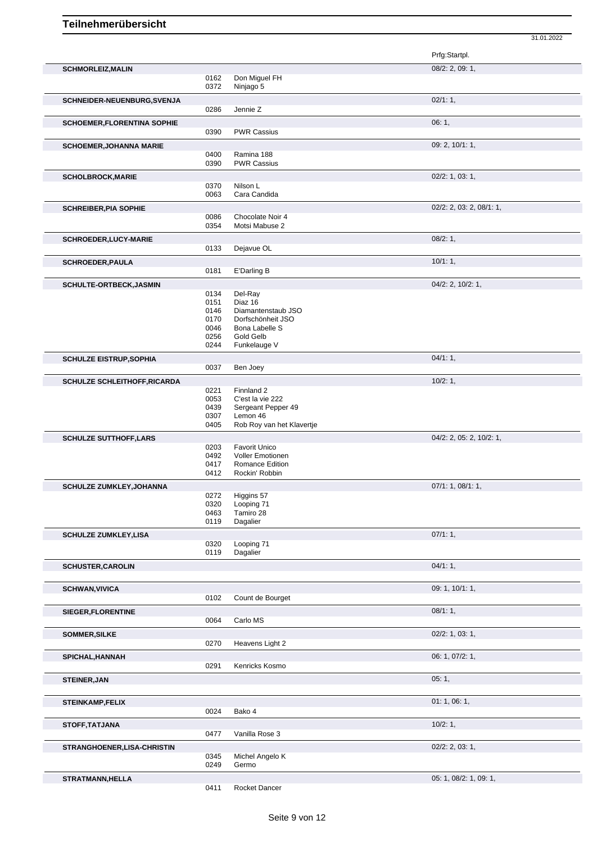|                                     |              |                                            | Prfg:Startpl.            |
|-------------------------------------|--------------|--------------------------------------------|--------------------------|
| <b>SCHMORLEIZ, MALIN</b>            |              |                                            | 08/2: 2, 09: 1,          |
|                                     | 0162<br>0372 | Don Miguel FH<br>Ninjago 5                 |                          |
|                                     |              |                                            |                          |
| SCHNEIDER-NEUENBURG, SVENJA         | 0286         | Jennie Z                                   | 02/1:1,                  |
| <b>SCHOEMER, FLORENTINA SOPHIE</b>  |              |                                            | 06:1,                    |
|                                     | 0390         | <b>PWR Cassius</b>                         |                          |
| <b>SCHOEMER, JOHANNA MARIE</b>      |              |                                            | 09: 2, 10/1: 1,          |
|                                     | 0400         | Ramina 188                                 |                          |
|                                     | 0390         | <b>PWR Cassius</b>                         |                          |
| <b>SCHOLBROCK, MARIE</b>            |              |                                            | $02/2$ : 1, 03: 1,       |
|                                     | 0370<br>0063 | Nilson L<br>Cara Candida                   |                          |
| <b>SCHREIBER, PIA SOPHIE</b>        |              |                                            | 02/2: 2, 03: 2, 08/1: 1, |
|                                     | 0086         | Chocolate Noir 4                           |                          |
|                                     | 0354         | Motsi Mabuse 2                             |                          |
| <b>SCHROEDER,LUCY-MARIE</b>         |              |                                            | 08/2:1,                  |
|                                     | 0133         | Dejavue OL                                 |                          |
| <b>SCHROEDER, PAULA</b>             |              |                                            | 10/1:1,                  |
|                                     | 0181         | E'Darling B                                |                          |
| <b>SCHULTE-ORTBECK, JASMIN</b>      | 0134         | Del-Ray                                    | 04/2: 2, 10/2: 1,        |
|                                     | 0151         | Diaz 16                                    |                          |
|                                     | 0146         | Diamantenstaub JSO                         |                          |
|                                     | 0170<br>0046 | Dorfschönheit JSO<br>Bona Labelle S        |                          |
|                                     | 0256         | Gold Gelb                                  |                          |
|                                     | 0244         | Funkelauge V                               |                          |
| <b>SCHULZE EISTRUP, SOPHIA</b>      |              |                                            | 04/1:1,                  |
|                                     | 0037         | Ben Joey                                   |                          |
| <b>SCHULZE SCHLEITHOFF, RICARDA</b> | 0221         | Finnland 2                                 | 10/2:1,                  |
|                                     | 0053         | C'est la vie 222                           |                          |
|                                     | 0439         | Sergeant Pepper 49                         |                          |
|                                     | 0307<br>0405 | Lemon 46<br>Rob Roy van het Klavertje      |                          |
| <b>SCHULZE SUTTHOFF, LARS</b>       |              |                                            | 04/2: 2, 05: 2, 10/2: 1, |
|                                     | 0203         | Favorit Unico                              |                          |
|                                     | 0492         | <b>Voller Emotionen</b><br>Romance Edition |                          |
|                                     | 0417<br>0412 | Rockin' Robbin                             |                          |
| <b>SCHULZE ZUMKLEY, JOHANNA</b>     |              |                                            | 07/1: 1, 08/1: 1,        |
|                                     |              | 0272 Higgins 57                            |                          |
|                                     | 0320<br>0463 | Looping 71<br>Tamiro 28                    |                          |
|                                     | 0119         | Dagalier                                   |                          |
| <b>SCHULZE ZUMKLEY,LISA</b>         |              |                                            | 07/1:1,                  |
|                                     | 0320         | Looping 71                                 |                          |
|                                     | 0119         | Dagalier                                   |                          |
| <b>SCHUSTER, CAROLIN</b>            |              |                                            | 04/1:1,                  |
|                                     |              |                                            |                          |
| <b>SCHWAN, VIVICA</b>               | 0102         | Count de Bourget                           | 09: 1, 10/1: 1,          |
|                                     |              |                                            | 08/1:1,                  |
| SIEGER, FLORENTINE                  | 0064         | Carlo MS                                   |                          |
| <b>SOMMER, SILKE</b>                |              |                                            | 02/2: 1, 03: 1,          |
|                                     | 0270         | Heavens Light 2                            |                          |
| SPICHAL, HANNAH                     |              |                                            | 06: 1, 07/2: 1,          |
|                                     | 0291         | Kenricks Kosmo                             |                          |
| <b>STEINER, JAN</b>                 |              |                                            | 05:1,                    |
|                                     |              |                                            |                          |
| <b>STEINKAMP,FELIX</b>              |              |                                            | 01: 1, 06: 1,            |
|                                     | 0024         | Bako 4                                     |                          |
| STOFF, TATJANA                      | 0477         | Vanilla Rose 3                             | 10/2:1,                  |
|                                     |              |                                            |                          |
| <b>STRANGHOENER, LISA-CHRISTIN</b>  | 0345         | Michel Angelo K                            | $02/2$ : 2, 03: 1,       |
|                                     | 0249         | Germo                                      |                          |
| <b>STRATMANN, HELLA</b>             |              |                                            | 05: 1, 08/2: 1, 09: 1,   |
|                                     | 0411         | Rocket Dancer                              |                          |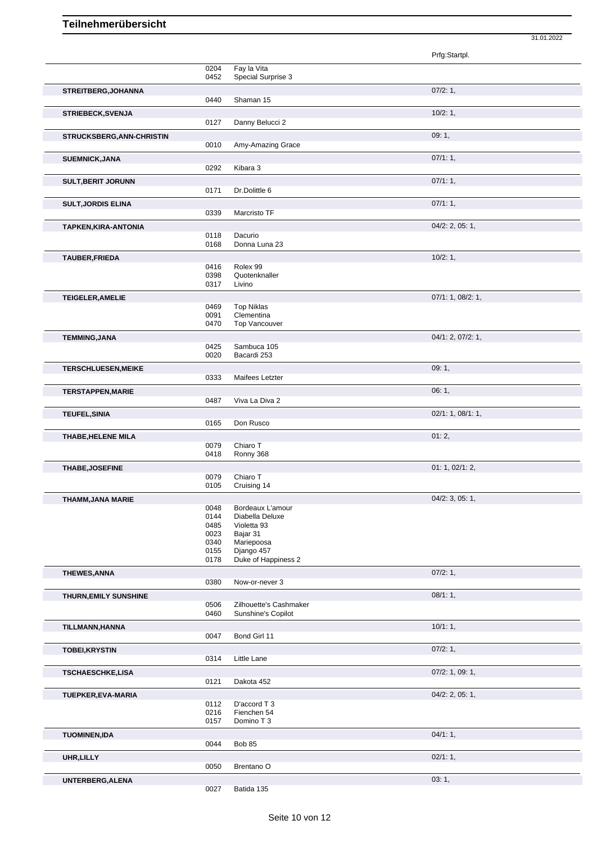|                            |              |                                | 31.01.2022         |
|----------------------------|--------------|--------------------------------|--------------------|
|                            |              |                                | Prfg:Startpl.      |
|                            | 0204         | Fay la Vita                    |                    |
|                            | 0452         | Special Surprise 3             |                    |
| STREITBERG, JOHANNA        |              |                                | 07/2:1,            |
|                            | 0440         | Shaman 15                      |                    |
| <b>STRIEBECK, SVENJA</b>   | 0127         | Danny Belucci 2                | 10/2:1,            |
| STRUCKSBERG, ANN-CHRISTIN  |              |                                | 09:1,              |
|                            | 0010         | Amy-Amazing Grace              |                    |
| <b>SUEMNICK, JANA</b>      |              |                                | 07/1:1,            |
|                            | 0292         | Kibara 3                       |                    |
| <b>SULT, BERIT JORUNN</b>  | 0171         | Dr.Dolittle 6                  | 07/1:1,            |
| <b>SULT, JORDIS ELINA</b>  |              |                                | 07/1:1,            |
|                            | 0339         | Marcristo TF                   |                    |
| TAPKEN, KIRA-ANTONIA       |              |                                | $04/2$ : 2, 05: 1, |
|                            | 0118<br>0168 | Dacurio<br>Donna Luna 23       |                    |
| <b>TAUBER, FRIEDA</b>      |              |                                | 10/2:1,            |
|                            | 0416         | Rolex 99                       |                    |
|                            | 0398<br>0317 | Quotenknaller<br>Livino        |                    |
| <b>TEIGELER, AMELIE</b>    |              |                                | 07/1: 1, 08/2: 1,  |
|                            | 0469         | <b>Top Niklas</b>              |                    |
|                            | 0091<br>0470 | Clementina<br>Top Vancouver    |                    |
| <b>TEMMING, JANA</b>       |              |                                | 04/1: 2, 07/2: 1,  |
|                            | 0425         | Sambuca 105                    |                    |
|                            | 0020         | Bacardi 253                    |                    |
| <b>TERSCHLUESEN, MEIKE</b> | 0333         | Maifees Letzter                | 09:1,              |
| <b>TERSTAPPEN, MARIE</b>   |              |                                | 06: 1,             |
|                            | 0487         | Viva La Diva 2                 |                    |
| <b>TEUFEL, SINIA</b>       |              |                                | 02/1: 1, 08/1: 1,  |
|                            | 0165         | Don Rusco                      |                    |
| THABE, HELENE MILA         | 0079         | Chiaro T                       | 01:2,              |
|                            | 0418         | Ronny 368                      |                    |
| <b>THABE, JOSEFINE</b>     |              |                                | 01: 1, 02/1: 2,    |
|                            | 0079<br>0105 | Chiaro T<br>Cruising 14        |                    |
| THAMM, JANA MARIE          |              |                                | 04/2: 3, 05: 1,    |
|                            | 0048         | Bordeaux L'amour               |                    |
|                            | 0144<br>0485 | Diabella Deluxe<br>Violetta 93 |                    |
|                            | 0023         | Bajar 31                       |                    |
|                            | 0340<br>0155 | Mariepoosa<br>Django 457       |                    |
|                            | 0178         | Duke of Happiness 2            |                    |
| <b>THEWES, ANNA</b>        |              |                                | 07/2:1,            |
|                            | 0380         | Now-or-never 3                 |                    |
| THURN, EMILY SUNSHINE      | 0506         | Zilhouette's Cashmaker         | 08/1:1,            |
|                            | 0460         | Sunshine's Copilot             |                    |
| TILLMANN, HANNA            |              |                                | 10/1:1,            |
|                            | 0047         | Bond Girl 11                   |                    |
| <b>TOBEI, KRYSTIN</b>      | 0314         | Little Lane                    | 07/2:1,            |
| <b>TSCHAESCHKE,LISA</b>    |              |                                | 07/2: 1, 09: 1,    |
|                            | 0121         | Dakota 452                     |                    |
| TUEPKER, EVA-MARIA         |              |                                | $04/2$ : 2, 05: 1, |
|                            | 0112<br>0216 | D'accord T 3<br>Fienchen 54    |                    |
|                            | 0157         | Domino T 3                     |                    |
| <b>TUOMINEN,IDA</b>        |              |                                | 04/1:1,            |
|                            | 0044         | <b>Bob 85</b>                  |                    |
| UHR, LILLY                 | 0050         | Brentano <sub>O</sub>          | 02/1:1,            |
|                            |              |                                | 03:1,              |
| UNTERBERG, ALENA           | 0027         | Batida 135                     |                    |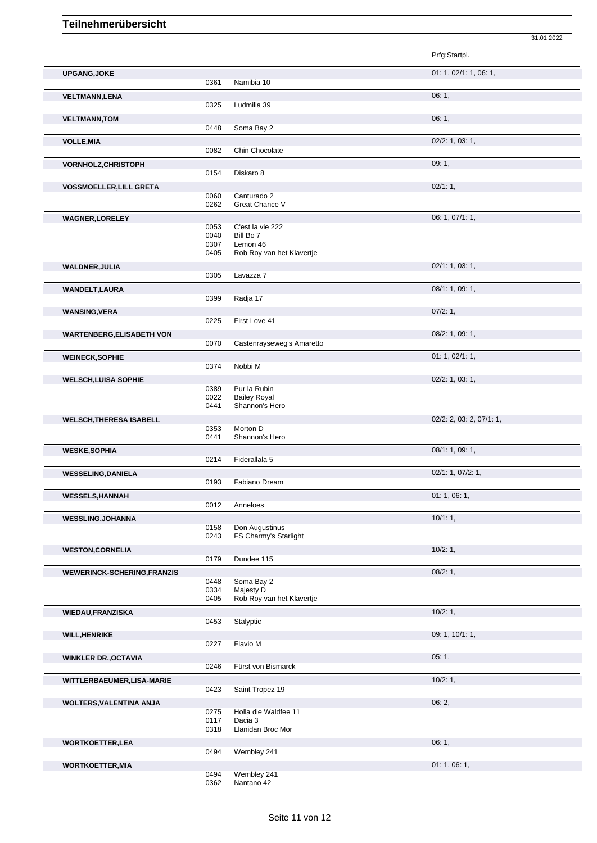|                                    |              |                                       | Prfg:Startpl.            |  |
|------------------------------------|--------------|---------------------------------------|--------------------------|--|
| <b>UPGANG, JOKE</b>                |              |                                       | 01: 1, 02/1: 1, 06: 1,   |  |
|                                    | 0361         | Namibia 10                            |                          |  |
| <b>VELTMANN,LENA</b>               |              |                                       | 06:1,                    |  |
|                                    | 0325         | Ludmilla 39                           |                          |  |
| <b>VELTMANN, TOM</b>               | 0448         | Soma Bay 2                            | 06:1,                    |  |
| <b>VOLLE, MIA</b>                  |              |                                       | 02/2: 1, 03: 1,          |  |
|                                    | 0082         | Chin Chocolate                        |                          |  |
| VORNHOLZ, CHRISTOPH                |              |                                       | 09:1,                    |  |
|                                    | 0154         | Diskaro 8                             |                          |  |
| <b>VOSSMOELLER, LILL GRETA</b>     |              |                                       | 02/1:1,                  |  |
|                                    | 0060<br>0262 | Canturado 2<br>Great Chance V         |                          |  |
|                                    |              |                                       |                          |  |
| <b>WAGNER,LORELEY</b>              | 0053         | C'est la vie 222                      | 06: 1, 07/1: 1,          |  |
|                                    | 0040         | Bill Bo 7                             |                          |  |
|                                    | 0307<br>0405 | Lemon 46<br>Rob Roy van het Klavertje |                          |  |
|                                    |              |                                       | 02/1: 1, 03: 1,          |  |
| <b>WALDNER, JULIA</b>              | 0305         | Lavazza 7                             |                          |  |
| <b>WANDELT,LAURA</b>               |              |                                       | 08/1: 1, 09: 1,          |  |
|                                    | 0399         | Radia 17                              |                          |  |
| <b>WANSING, VERA</b>               |              |                                       | 07/2:1,                  |  |
|                                    | 0225         | First Love 41                         |                          |  |
| <b>WARTENBERG, ELISABETH VON</b>   |              |                                       | 08/2: 1, 09: 1,          |  |
|                                    | 0070         | Castenrayseweg's Amaretto             |                          |  |
| <b>WEINECK, SOPHIE</b>             |              |                                       | 01: 1, 02/1: 1,          |  |
|                                    | 0374         | Nobbi M                               |                          |  |
| <b>WELSCH, LUISA SOPHIE</b>        |              |                                       | 02/2: 1, 03: 1,          |  |
|                                    | 0389<br>0022 | Pur la Rubin<br><b>Bailey Royal</b>   |                          |  |
|                                    | 0441         | Shannon's Hero                        |                          |  |
| <b>WELSCH, THERESA ISABELL</b>     |              |                                       | 02/2: 2, 03: 2, 07/1: 1, |  |
|                                    | 0353<br>0441 | Morton D<br>Shannon's Hero            |                          |  |
|                                    |              |                                       | 08/1: 1, 09: 1,          |  |
| <b>WESKE,SOPHIA</b>                | 0214         | Fiderallala 5                         |                          |  |
| <b>WESSELING, DANIELA</b>          |              |                                       | 02/1: 1, 07/2: 1,        |  |
|                                    | 0193         | Fabiano Dream                         |                          |  |
| <b>WESSELS, HANNAH</b>             |              |                                       |                          |  |
|                                    |              |                                       | 01:1,06:1,               |  |
|                                    | 0012         | Anneloes                              |                          |  |
| <b>WESSLING, JOHANNA</b>           |              |                                       | 10/1:1                   |  |
|                                    | 0158         | Don Augustinus                        |                          |  |
|                                    | 0243         | FS Charmy's Starlight                 |                          |  |
| <b>WESTON,CORNELIA</b>             |              |                                       | 10/2:1,                  |  |
|                                    | 0179         | Dundee 115                            |                          |  |
| <b>WEWERINCK-SCHERING, FRANZIS</b> |              |                                       | 08/2:1,                  |  |
|                                    | 0448<br>0334 | Soma Bay 2<br>Majesty D               |                          |  |
|                                    | 0405         | Rob Roy van het Klavertje             |                          |  |
| WIEDAU, FRANZISKA                  |              |                                       | 10/2:1,                  |  |
|                                    | 0453         | Stalyptic                             |                          |  |
| <b>WILL, HENRIKE</b>               |              |                                       | 09: 1, 10/1: 1,          |  |
|                                    | 0227         | Flavio M                              |                          |  |
| <b>WINKLER DR., OCTAVIA</b>        |              |                                       | 05:1,                    |  |
|                                    | 0246         | Fürst von Bismarck                    |                          |  |
| WITTLERBAEUMER,LISA-MARIE          | 0423         | Saint Tropez 19                       | 10/2:1,                  |  |
|                                    |              |                                       | 06:2,                    |  |
| WOLTERS, VALENTINA ANJA            | 0275         | Holla die Waldfee 11                  |                          |  |
|                                    | 0117         | Dacia 3                               |                          |  |
|                                    | 0318         | Llanidan Broc Mor                     |                          |  |
| <b>WORTKOETTER,LEA</b>             |              |                                       | 06:1,                    |  |
|                                    | 0494         | Wembley 241                           |                          |  |
| <b>WORTKOETTER, MIA</b>            | 0494         | Wembley 241                           | 01:1,06:1,               |  |